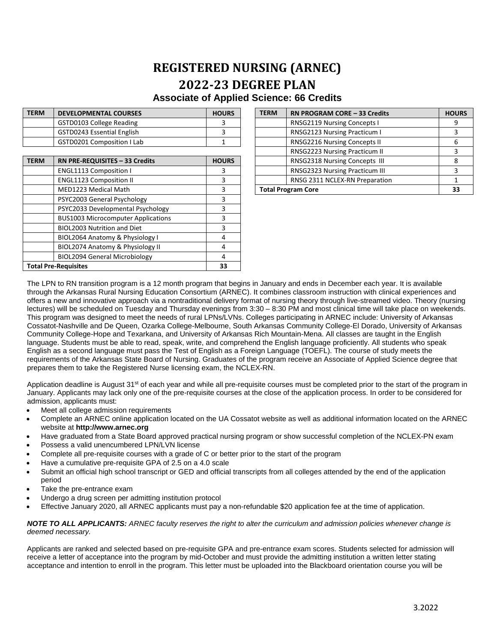## **REGISTERED NURSING (ARNEC) 2022-23 DEGREE PLAN Associate of Applied Science: 66 Credits**

| <b>TERM</b> | <b>DEVELOPMENTAL COURSES</b> | <b>HOURS</b> |
|-------------|------------------------------|--------------|
|             | GSTD0103 College Reading     |              |
|             | GSTD0243 Essential English   |              |
|             | GSTD0201 Composition I Lab   |              |

| <b>TERM</b>                       | RN PRE-REQUISITES - 33 Credits            | <b>HOURS</b> | RNSG2318 Nursing Concepts III  | 8 |
|-----------------------------------|-------------------------------------------|--------------|--------------------------------|---|
|                                   | <b>ENGL1113 Composition I</b>             |              | RNSG2323 Nursing Practicum III |   |
|                                   | <b>ENGL1123 Composition II</b>            | 3            | RNSG 2311 NCLEX-RN Preparation |   |
| MED1223 Medical Math              |                                           | 3            | <b>Total Program Core</b>      |   |
|                                   | PSYC2003 General Psychology               | 3            |                                |   |
|                                   | PSYC2033 Developmental Psychology         | 3            |                                |   |
|                                   | <b>BUS1003 Microcomputer Applications</b> | 3            |                                |   |
|                                   | <b>BIOL2003 Nutrition and Diet</b>        |              |                                |   |
|                                   | BIOL2064 Anatomy & Physiology I           | 4            |                                |   |
|                                   | BIOL2074 Anatomy & Physiology II          | 4            |                                |   |
|                                   | <b>BIOL2094 General Microbiology</b>      | 4            |                                |   |
| <b>Total Pre-Requisites</b><br>33 |                                           |              |                                |   |

| <b>TERM</b> | <b>DEVELOPMENTAL COURSES</b>   | <b>HOURS</b> | <b>TERM</b>               | RN PROGRAM CORE - 33 Credits          | <b>HOURS</b> |
|-------------|--------------------------------|--------------|---------------------------|---------------------------------------|--------------|
|             | GSTD0103 College Reading       |              |                           | <b>RNSG2119 Nursing Concepts I</b>    |              |
|             | GSTD0243 Essential English     |              |                           | RNSG2123 Nursing Practicum I          |              |
|             | GSTD0201 Composition I Lab     |              |                           | RNSG2216 Nursing Concepts II          |              |
|             |                                |              |                           | RNSG2223 Nursing Practicum II         |              |
| <b>TERM</b> | RN PRE-REQUISITES - 33 Credits | <b>HOURS</b> |                           | <b>RNSG2318 Nursing Concepts III</b>  |              |
|             | <b>ENGL1113 Composition I</b>  |              |                           | <b>RNSG2323 Nursing Practicum III</b> |              |
|             | <b>ENGL1123 Composition II</b> |              |                           | RNSG 2311 NCLEX-RN Preparation        |              |
|             | MED1223 Medical Math           |              | <b>Total Program Core</b> |                                       |              |
|             |                                |              |                           |                                       |              |

The LPN to RN transition program is a 12 month program that begins in January and ends in December each year. It is available through the Arkansas Rural Nursing Education Consortium (ARNEC). It combines classroom instruction with clinical experiences and offers a new and innovative approach via a nontraditional delivery format of nursing theory through live-streamed video. Theory (nursing lectures) will be scheduled on Tuesday and Thursday evenings from 3:30 – 8:30 PM and most clinical time will take place on weekends. This program was designed to meet the needs of rural LPNs/LVNs. Colleges participating in ARNEC include: University of Arkansas Cossatot-Nashville and De Queen, Ozarka College-Melbourne, South Arkansas Community College-El Dorado, University of Arkansas Community College-Hope and Texarkana, and University of Arkansas Rich Mountain-Mena. All classes are taught in the English language. Students must be able to read, speak, write, and comprehend the English language proficiently. All students who speak English as a second language must pass the Test of English as a Foreign Language (TOEFL). The course of study meets the requirements of the Arkansas State Board of Nursing. Graduates of the program receive an Associate of Applied Science degree that prepares them to take the Registered Nurse licensing exam, the NCLEX-RN.

Application deadline is August 31<sup>st</sup> of each year and while all pre-requisite courses must be completed prior to the start of the program in January. Applicants may lack only one of the pre-requisite courses at the close of the application process. In order to be considered for admission, applicants must:

- Meet all college admission requirements
- Complete an ARNEC online application located on the UA Cossatot website as well as additional information located on the ARNEC website at **http://www.arnec.org**
- Have graduated from a State Board approved practical nursing program or show successful completion of the NCLEX-PN exam
- Possess a valid unencumbered LPN/LVN license
- Complete all pre-requisite courses with a grade of C or better prior to the start of the program
- Have a cumulative pre-requisite GPA of 2.5 on a 4.0 scale
- Submit an official high school transcript or GED and official transcripts from all colleges attended by the end of the application period
- Take the pre-entrance exam
- Undergo a drug screen per admitting institution protocol
- Effective January 2020, all ARNEC applicants must pay a non-refundable \$20 application fee at the time of application.

## *NOTE TO ALL APPLICANTS: ARNEC faculty reserves the right to alter the curriculum and admission policies whenever change is deemed necessary.*

Applicants are ranked and selected based on pre-requisite GPA and pre-entrance exam scores. Students selected for admission will receive a letter of acceptance into the program by mid-October and must provide the admitting institution a written letter stating acceptance and intention to enroll in the program. This letter must be uploaded into the Blackboard orientation course you will be